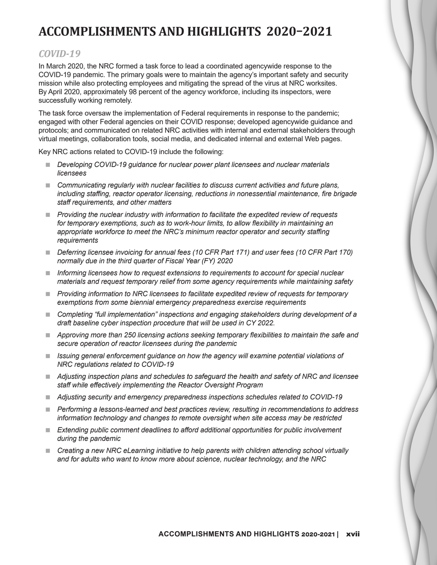# **ACCOMPLISHMENTS AND HIGHLIGHTS 2020–2021**

# *COVID-19*

In March 2020, the NRC formed a task force to lead a coordinated agencywide response to the COVID-19 pandemic. The primary goals were to maintain the agency's important safety and security mission while also protecting employees and mitigating the spread of the virus at NRC worksites. By April 2020, approximately 98 percent of the agency workforce, including its inspectors, were successfully working remotely.

The task force oversaw the implementation of Federal requirements in response to the pandemic; engaged with other Federal agencies on their COVID response; developed agencywide guidance and protocols; and communicated on related NRC activities with internal and external stakeholders through virtual meetings, collaboration tools, social media, and dedicated internal and external Web pages.

Key NRC actions related to COVID-19 include the following:

- Developing COVID-19 guidance for nuclear power plant licensees and nuclear materials *licensees*
- Communicating regularly with nuclear facilities to discuss current activities and future plans, *including staffing, reactor operator licensing, reductions in nonessential maintenance, fire brigade staff requirements, and other matters*
- *Providing the nuclear industry with information to facilitate the expedited review of requests for temporary exemptions, such as to work-hour limits, to allow flexibility in maintaining an appropriate workforce to meet the NRC's minimum reactor operator and security staffing requirements*
- Deferring licensee invoicing for annual fees (10 CFR Part 171) and user fees (10 CFR Part 170) *normally due in the third quarter of Fiscal Year (FY) 2020*
- *Informing licensees how to request extensions to requirements to account for special nuclear materials and request temporary relief from some agency requirements while maintaining safety*
- *Providing information to NRC licensees to facilitate expedited review of requests for temporary exemptions from some biennial emergency preparedness exercise requirements*
- Completing "full implementation" inspections and engaging stakeholders during development of a *draft baseline cyber inspection procedure that will be used in CY 2022.*
- *Approving more than 250 licensing actions seeking temporary flexibilities to maintain the safe and secure operation of reactor licensees during the pandemic*
- *Issuing general enforcement guidance on how the agency will examine potential violations of NRC regulations related to COVID-19*
- *Adjusting inspection plans and schedules to safeguard the health and safety of NRC and licensee staff while effectively implementing the Reactor Oversight Program*
- *Adjusting security and emergency preparedness inspections schedules related to COVID-19*
- *Performing a lessons-learned and best practices review, resulting in recommendations to address information technology and changes to remote oversight when site access may be restricted*
- Extending public comment deadlines to afford additional opportunities for public involvement *during the pandemic*
- **EXP** Creating a new NRC eLearning initiative to help parents with children attending school virtually *and for adults who want to know more about science, nuclear technology, and the NRC*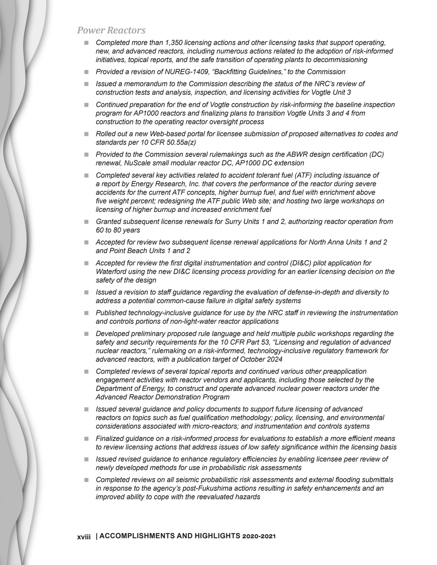#### *Power Reactors*

- **Completed more than 1,350 licensing actions and other licensing tasks that support operating,** *new, and advanced reactors, including numerous actions related to the adoption of risk-informed initiatives, topical reports, and the safe transition of operating plants to decommissioning*
- *Provided a revision of NUREG-1409, "Backfitting Guidelines," to the Commission*
- **I** Issued a memorandum to the Commission describing the status of the NRC's review of *construction tests and analysis, inspection, and licensing activities for Vogtle Unit 3*
- **Continued preparation for the end of Vogtle construction by risk-informing the baseline inspection** *program for AP1000 reactors and finalizing plans to transition Vogtle Units 3 and 4 from construction to the operating reactor oversight process*
- **Rolled out a new Web-based portal for licensee submission of proposed alternatives to codes and** *standards per 10 CFR 50.55a(z)*
- *Provided to the Commission several rulemakings such as the ABWR design certification (DC) renewal, NuScale small modular reactor DC, AP1000 DC extension*
- **Completed several key activities related to accident tolerant fuel (ATF) including issuance of** *a report by Energy Research, Inc. that covers the performance of the reactor during severe accidents for the current ATF concepts, higher burnup fuel, and fuel with enrichment above five weight percent; redesigning the ATF public Web site; and hosting two large workshops on licensing of higher burnup and increased enrichment fuel*
- *Granted subsequent license renewals for Surry Units 1 and 2, authorizing reactor operation from 60 to 80 years*
- *Accepted for review two subsequent license renewal applications for North Anna Units 1 and 2 and Point Beach Units 1 and 2*
- *Accepted for review the first digital instrumentation and control (DI&C) pilot application for Waterford using the new DI&C licensing process providing for an earlier licensing decision on the safety of the design*
- *Issued a revision to staff guidance regarding the evaluation of defense-in-depth and diversity to address a potential common-cause failure in digital safety systems*
- *Published technology-inclusive guidance for use by the NRC staff in reviewing the instrumentation and controls portions of non-light-water reactor applications*
- **Developed preliminary proposed rule language and held multiple public workshops regarding the** *safety and security requirements for the 10 CFR Part 53, "Licensing and regulation of advanced nuclear reactors," rulemaking on a risk-informed, technology-inclusive regulatory framework for advanced reactors, with a publication target of October 2024*
- **Completed reviews of several topical reports and continued various other preapplication** *engagement activities with reactor vendors and applicants, including those selected by the Department of Energy, to construct and operate advanced nuclear power reactors under the Advanced Reactor Demonstration Program*
- *Issued several guidance and policy documents to support future licensing of advanced reactors on topics such as fuel qualification methodology; policy, licensing, and environmental considerations associated with micro-reactors; and instrumentation and controls systems*
- *Finalized guidance on a risk-informed process for evaluations to establish a more efficient means to review licensing actions that address issues of low safety significance within the licensing basis*
- **I** Issued revised guidance to enhance regulatory efficiencies by enabling licensee peer review of *newly developed methods for use in probabilistic risk assessments*
- *Completed reviews on all seismic probabilistic risk assessments and external flooding submittals in response to the agency's post-Fukushima actions resulting in safety enhancements and an improved ability to cope with the reevaluated hazards*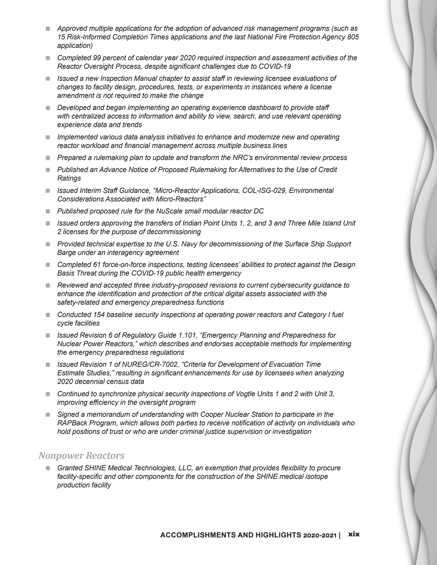- *Approved multiple applications for the adoption of advanced risk management programs (such as 15 Risk-Informed Completion Times applications and the last National Fire Protection Agency 805 application)*
- Completed 99 percent of calendar year 2020 required inspection and assessment activities of the *Reactor Oversight Process, despite significant challenges due to COVID-19*
- *Issued a new Inspection Manual chapter to assist staff in reviewing licensee evaluations of changes to facility design, procedures, tests, or experiments in instances where a license amendment is not required to make the change*
- *Developed and began implementing an operating experience dashboard to provide staff with centralized access to information and ability to view, search, and use relevant operating experience data and trends*
- *Implemented various data analysis initiatives to enhance and modernize new and operating reactor workload and financial management across multiple business lines*
- *Prepared a rulemaking plan to update and transform the NRC's environmental review process*
- **Published an Advance Notice of Proposed Rulemaking for Alternatives to the Use of Credit** *Ratings*
- Issued Interim Staff Guidance, "Micro-Reactor Applications, COL-ISG-029, Environmental *Considerations Associated with Micro-Reactors"*
- *Published proposed rule for the NuScale small modular reactor DC*
- Issued orders approving the transfers of Indian Point Units 1, 2, and 3 and Three Mile Island Unit *2 licenses for the purpose of decommissioning*
- Provided technical expertise to the U.S. Navy for decommissioning of the Surface Ship Support *Barge under an interagency agreement*
- Completed 61 force-on-force inspections, testing licensees' abilities to protect against the Design *Basis Threat during the COVID-19 public health emergency*
- *Reviewed and accepted three industry-proposed revisions to current cybersecurity guidance to enhance the identification and protection of the critical digital assets associated with the safety-related and emergency preparedness functions*
- Conducted 154 baseline security inspections at operating power reactors and Category I fuel *cycle facilities*
- *Issued Revision 6 of Regulatory Guide 1.101, "Emergency Planning and Preparedness for Nuclear Power Reactors," which describes and endorses acceptable methods for implementing the emergency preparedness regulations*
- Issued Revision 1 of NUREG/CR-7002, "Criteria for Development of Evacuation Time *Estimate Studies," resulting in significant enhancements for use by licensees when analyzing 2020 decennial census data*
- Continued to synchronize physical security inspections of Vogtle Units 1 and 2 with Unit 3, *improving efficiency in the oversight program*
- *Signed a memorandum of understanding with Cooper Nuclear Station to participate in the RAPBack Program, which allows both parties to receive notification of activity on individuals who hold positions of trust or who are under criminal justice supervision or investigation*

#### *Nonpower Reactors*

**F** Granted SHINE Medical Technologies, LLC, an exemption that provides flexibility to procure *facility-specific and other components for the construction of the SHINE medical isotope production facility*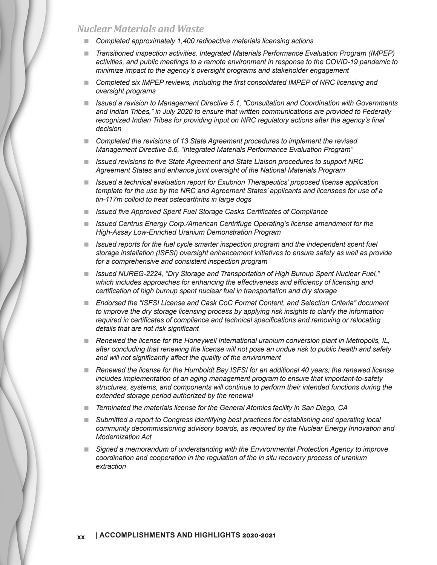*Nuclear Materials and Waste*

- *Completed approximately 1,400 radioactive materials licensing actions*
- *Transitioned inspection activities, Integrated Materials Performance Evaluation Program (IMPEP) activities, and public meetings to a remote environment in response to the COVID-19 pandemic to minimize impact to the agency's oversight programs and stakeholder engagement*
- **Completed six IMPEP reviews, including the first consolidated IMPEP of NRC licensing and** *oversight programs*
- *Issued a revision to Management Directive 5.1, "Consultation and Coordination with Governments and Indian Tribes," in July 2020 to ensure that written communications are provided to Federally recognized Indian Tribes for providing input on NRC regulatory actions after the agency's final decision*
- *Completed the revisions of 13 State Agreement procedures to implement the revised Management Directive 5.6, "Integrated Materials Performance Evaluation Program"*
- *Issued revisions to five State Agreement and State Liaison procedures to support NRC Agreement States and enhance joint oversight of the National Materials Program*
- *Issued a technical evaluation report for Exubrion Therapeutics' proposed license application template for the use by the NRC and Agreement States' applicants and licensees for use of a tin-117m colloid to treat osteoarthritis in large dogs*
- *Issued five Approved Spent Fuel Storage Casks Certificates of Compliance*
- **ISSUED Centrus Energy Corp./American Centrifuge Operating's license amendment for the** *High-Assay Low-Enriched Uranium Demonstration Program*
- **If also is a** *Issued reports for the fuel cycle smarter inspection program and the independent spent fuel storage installation (ISFSI) oversight enhancement initiatives to ensure safety as well as provide for a comprehensive and consistent inspection program*
- *Issued NUREG-2224, "Dry Storage and Transportation of High Burnup Spent Nuclear Fuel," which includes approaches for enhancing the effectiveness and efficiency of licensing and certification of high burnup spent nuclear fuel in transportation and dry storage*
- *Endorsed the "ISFSI License and Cask CoC Format Content, and Selection Criteria" document*  to improve the dry storage licensing process by applying risk insights to clarify the information *required in certificates of compliance and technical specifications and removing or relocating details that are not risk significant*
- *Renewed the license for the Honeywell International uranium conversion plant in Metropolis, IL, after concluding that renewing the license will not pose an undue risk to public health and safety and will not significantly affect the quality of the environment*
- *Renewed the license for the Humboldt Bay ISFSI for an additional 40 years; the renewed license includes implementation of an aging management program to ensure that important-to-safety structures, systems, and components will continue to perform their intended functions during the extended storage period authorized by the renewal*
- *Terminated the materials license for the General Atomics facility in San Diego, CA*
- *Submitted a report to Congress identifying best practices for establishing and operating local community decommissioning advisory boards, as required by the Nuclear Energy Innovation and Modernization Act*
- **Signed a memorandum of understanding with the Environmental Protection Agency to improve** *coordination and cooperation in the regulation of the in situ recovery process of uranium extraction*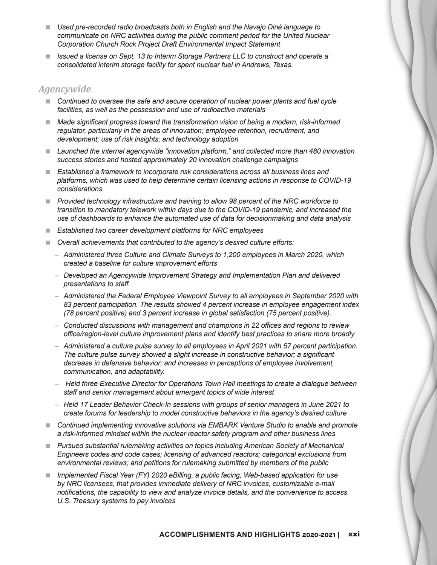- Used pre-recorded radio broadcasts both in English and the Navajo Diné language to *communicate on NRC activities during the public comment period for the United Nuclear Corporation Church Rock Project Draft Environmental Impact Statement*
- Issued a license on Sept. 13 to Interim Storage Partners LLC to construct and operate a *consolidated interim storage facility for spent nuclear fuel in Andrews, Texas.*

#### *Agencywide*

- Continued to oversee the safe and secure operation of nuclear power plants and fuel cycle *facilities, as well as the possession and use of radioactive materials*
- Made significant progress toward the transformation vision of being a modern, risk-informed *regulator, particularly in the areas of innovation; employee retention, recruitment, and development; use of risk insights; and technology adoption*
- Launched the internal agencywide "innovation platform," and collected more than 480 innovation *success stories and hosted approximately 20 innovation challenge campaigns*
- *Established a framework to incorporate risk considerations across all business lines and platforms, which was used to help determine certain licensing actions in response to COVID-19 considerations*
- *Provided technology infrastructure and training to allow 98 percent of the NRC workforce to transition to mandatory telework within days due to the COVID-19 pandemic, and increased the use of dashboards to enhance the automated use of data for decisionmaking and data analysis*
- *Established two career development platforms for NRC employees*
- *Overall achievements that contributed to the agency's desired culture efforts:*
	- *Administered three Culture and Climate Surveys to 1,200 employees in March 2020, which created a baseline for culture improvement efforts*
	- *Developed an Agencywide Improvement Strategy and Implementation Plan and delivered presentations to staff.*
	- *Administered the Federal Employee Viewpoint Survey to all employees in September 2020 with 83 percent participation. The results showed 4 percent increase in employee engagement index (78 percent positive) and 3 percent increase in global satisfaction (75 percent positive).*
	- *Conducted discussions with management and champions in 22 offices and regions to review office/region-level culture improvement plans and identify best practices to share more broadly*
	- *Administered a culture pulse survey to all employees in April 2021 with 57 percent participation. The culture pulse survey showed a slight increase in constructive behavior; a significant decrease in defensive behavior; and increases in perceptions of employee involvement, communication, and adaptability.*
	- – *Held three Executive Director for Operations Town Hall meetings to create a dialogue between staff and senior management about emergent topics of wide interest*
	- *Held 17 Leader Behavior Check-In sessions with groups of senior managers in June 2021 to create forums for leadership to model constructive behaviors in the agency's desired culture*
- Continued implementing innovative solutions via EMBARK Venture Studio to enable and promote *a risk-informed mindset within the nuclear reactor safety program and other business lines*
- *Pursued substantial rulemaking activities on topics including American Society of Mechanical Engineers codes and code cases; licensing of advanced reactors; categorical exclusions from environmental reviews; and petitions for rulemaking submitted by members of the public*
- *Implemented Fiscal Year (FY) 2020 eBilling, a public facing, Web-based application for use by NRC licensees, that provides immediate delivery of NRC invoices, customizable e-mail notifications, the capability to view and analyze invoice details, and the convenience to access U.S. Treasury systems to pay invoices*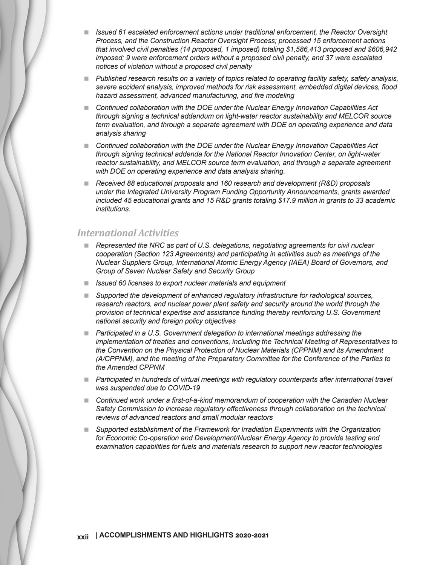- **I** Issued 61 escalated enforcement actions under traditional enforcement, the Reactor Oversight *Process, and the Construction Reactor Oversight Process; processed 15 enforcement actions that involved civil penalties (14 proposed, 1 imposed) totaling \$1,586,413 proposed and \$606,942 imposed; 9 were enforcement orders without a proposed civil penalty, and 37 were escalated notices of violation without a proposed civil penalty*
- *Published research results on a variety of topics related to operating facility safety, safety analysis, severe accident analysis, improved methods for risk assessment, embedded digital devices, flood hazard assessment, advanced manufacturing, and fire modeling*
- *Continued collaboration with the DOE under the Nuclear Energy Innovation Capabilities Act through signing a technical addendum on light-water reactor sustainability and MELCOR source term evaluation, and through a separate agreement with DOE on operating experience and data analysis sharing*
- **Continued collaboration with the DOE under the Nuclear Energy Innovation Capabilities Act** *through signing technical addenda for the National Reactor Innovation Center, on light-water reactor sustainability, and MELCOR source term evaluation, and through a separate agreement with DOE on operating experience and data analysis sharing.*
- *Received 88 educational proposals and 160 research and development (R&D) proposals under the Integrated University Program Funding Opportunity Announcements, grants awarded included 45 educational grants and 15 R&D grants totaling \$17.9 million in grants to 33 academic institutions.*

#### *International Activities*

- **Represented the NRC as part of U.S. delegations, negotiating agreements for civil nuclear** *cooperation (Section 123 Agreements) and participating in activities such as meetings of the Nuclear Suppliers Group, International Atomic Energy Agency (IAEA) Board of Governors, and Group of Seven Nuclear Safety and Security Group*
- *Issued 60 licenses to export nuclear materials and equipment*
- *Supported the development of enhanced regulatory infrastructure for radiological sources, research reactors, and nuclear power plant safety and security around the world through the provision of technical expertise and assistance funding thereby reinforcing U.S. Government national security and foreign policy objectives*
- **Participated in a U.S. Government delegation to international meetings addressing the** *implementation of treaties and conventions, including the Technical Meeting of Representatives to the Convention on the Physical Protection of Nuclear Materials (CPPNM) and its Amendment (A/CPPNM), and the meeting of the Preparatory Committee for the Conference of the Parties to the Amended CPPNM*
- *Participated in hundreds of virtual meetings with regulatory counterparts after international travel was suspended due to COVID-19*
- **Continued work under a first-of-a-kind memorandum of cooperation with the Canadian Nuclear** *Safety Commission to increase regulatory effectiveness through collaboration on the technical reviews of advanced reactors and small modular reactors*
- **Bupported establishment of the Framework for Irradiation Experiments with the Organization** *for Economic Co-operation and Development/Nuclear Energy Agency to provide testing and examination capabilities for fuels and materials research to support new reactor technologies*